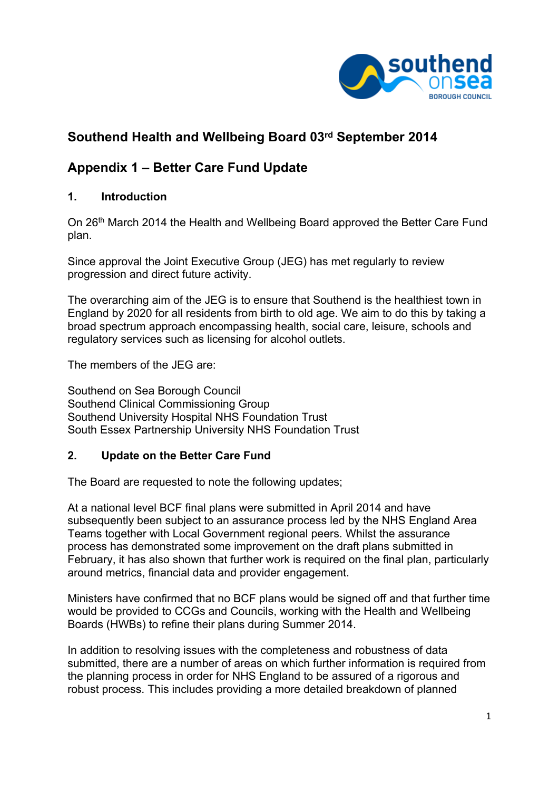

# **Southend Health and Wellbeing Board 03rd September 2014**

## **Appendix 1 – Better Care Fund Update**

## **1. Introduction**

On 26th March 2014 the Health and Wellbeing Board approved the Better Care Fund plan.

Since approval the Joint Executive Group (JEG) has met regularly to review progression and direct future activity.

The overarching aim of the JEG is to ensure that Southend is the healthiest town in England by 2020 for all residents from birth to old age. We aim to do this by taking a broad spectrum approach encompassing health, social care, leisure, schools and regulatory services such as licensing for alcohol outlets.

The members of the JEG are:

Southend on Sea Borough Council Southend Clinical Commissioning Group Southend University Hospital NHS Foundation Trust South Essex Partnership University NHS Foundation Trust

## **2. Update on the Better Care Fund**

The Board are requested to note the following updates;

At a national level BCF final plans were submitted in April 2014 and have subsequently been subject to an assurance process led by the NHS England Area Teams together with Local Government regional peers. Whilst the assurance process has demonstrated some improvement on the draft plans submitted in February, it has also shown that further work is required on the final plan, particularly around metrics, financial data and provider engagement.

Ministers have confirmed that no BCF plans would be signed off and that further time would be provided to CCGs and Councils, working with the Health and Wellbeing Boards (HWBs) to refine their plans during Summer 2014.

In addition to resolving issues with the completeness and robustness of data submitted, there are a number of areas on which further information is required from the planning process in order for NHS England to be assured of a rigorous and robust process. This includes providing a more detailed breakdown of planned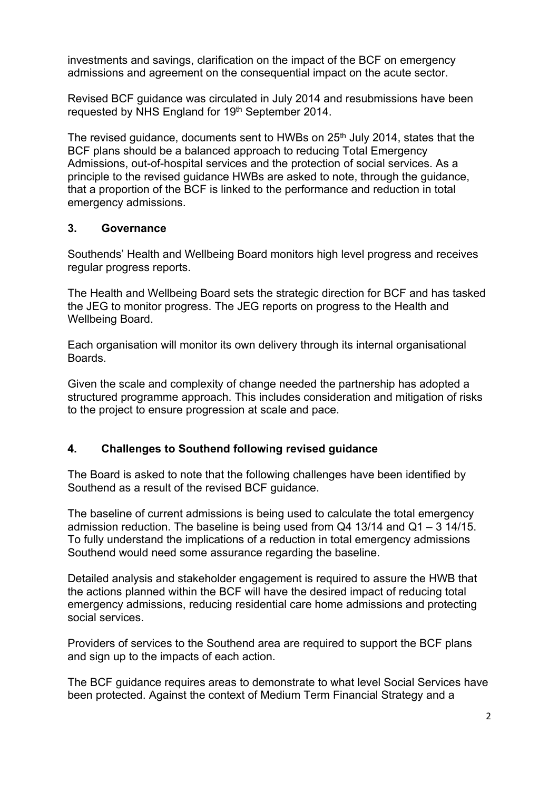investments and savings, clarification on the impact of the BCF on emergency admissions and agreement on the consequential impact on the acute sector.

Revised BCF guidance was circulated in July 2014 and resubmissions have been requested by NHS England for 19th September 2014.

The revised guidance, documents sent to HWBs on 25<sup>th</sup> July 2014, states that the BCF plans should be a balanced approach to reducing Total Emergency Admissions, out-of-hospital services and the protection of social services. As a principle to the revised guidance HWBs are asked to note, through the guidance, that a proportion of the BCF is linked to the performance and reduction in total emergency admissions.

#### **3. Governance**

Southends' Health and Wellbeing Board monitors high level progress and receives regular progress reports.

The Health and Wellbeing Board sets the strategic direction for BCF and has tasked the JEG to monitor progress. The JEG reports on progress to the Health and Wellbeing Board.

Each organisation will monitor its own delivery through its internal organisational Boards.

Given the scale and complexity of change needed the partnership has adopted a structured programme approach. This includes consideration and mitigation of risks to the project to ensure progression at scale and pace.

## **4. Challenges to Southend following revised guidance**

The Board is asked to note that the following challenges have been identified by Southend as a result of the revised BCF guidance.

The baseline of current admissions is being used to calculate the total emergency admission reduction. The baseline is being used from Q4 13/14 and Q1 – 3 14/15. To fully understand the implications of a reduction in total emergency admissions Southend would need some assurance regarding the baseline.

Detailed analysis and stakeholder engagement is required to assure the HWB that the actions planned within the BCF will have the desired impact of reducing total emergency admissions, reducing residential care home admissions and protecting social services.

Providers of services to the Southend area are required to support the BCF plans and sign up to the impacts of each action.

The BCF guidance requires areas to demonstrate to what level Social Services have been protected. Against the context of Medium Term Financial Strategy and a